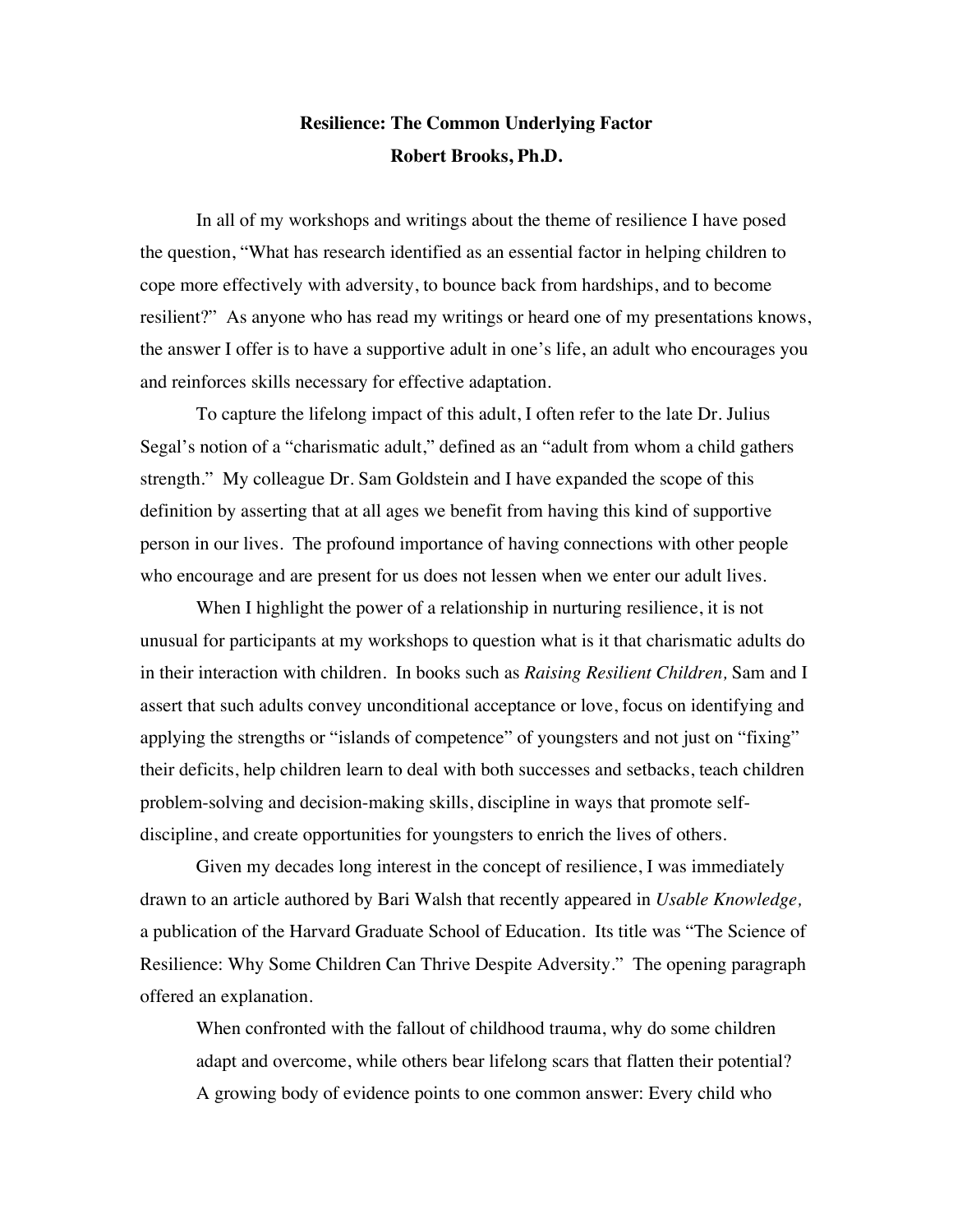# **Resilience: The Common Underlying Factor Robert Brooks, Ph.D.**

In all of my workshops and writings about the theme of resilience I have posed the question, "What has research identified as an essential factor in helping children to cope more effectively with adversity, to bounce back from hardships, and to become resilient?" As anyone who has read my writings or heard one of my presentations knows, the answer I offer is to have a supportive adult in one's life, an adult who encourages you and reinforces skills necessary for effective adaptation.

To capture the lifelong impact of this adult, I often refer to the late Dr. Julius Segal's notion of a "charismatic adult," defined as an "adult from whom a child gathers strength." My colleague Dr. Sam Goldstein and I have expanded the scope of this definition by asserting that at all ages we benefit from having this kind of supportive person in our lives. The profound importance of having connections with other people who encourage and are present for us does not lessen when we enter our adult lives.

When I highlight the power of a relationship in nurturing resilience, it is not unusual for participants at my workshops to question what is it that charismatic adults do in their interaction with children. In books such as *Raising Resilient Children,* Sam and I assert that such adults convey unconditional acceptance or love, focus on identifying and applying the strengths or "islands of competence" of youngsters and not just on "fixing" their deficits, help children learn to deal with both successes and setbacks, teach children problem-solving and decision-making skills, discipline in ways that promote selfdiscipline, and create opportunities for youngsters to enrich the lives of others.

Given my decades long interest in the concept of resilience, I was immediately drawn to an article authored by Bari Walsh that recently appeared in *Usable Knowledge,*  a publication of the Harvard Graduate School of Education. Its title was "The Science of Resilience: Why Some Children Can Thrive Despite Adversity." The opening paragraph offered an explanation.

When confronted with the fallout of childhood trauma, why do some children adapt and overcome, while others bear lifelong scars that flatten their potential? A growing body of evidence points to one common answer: Every child who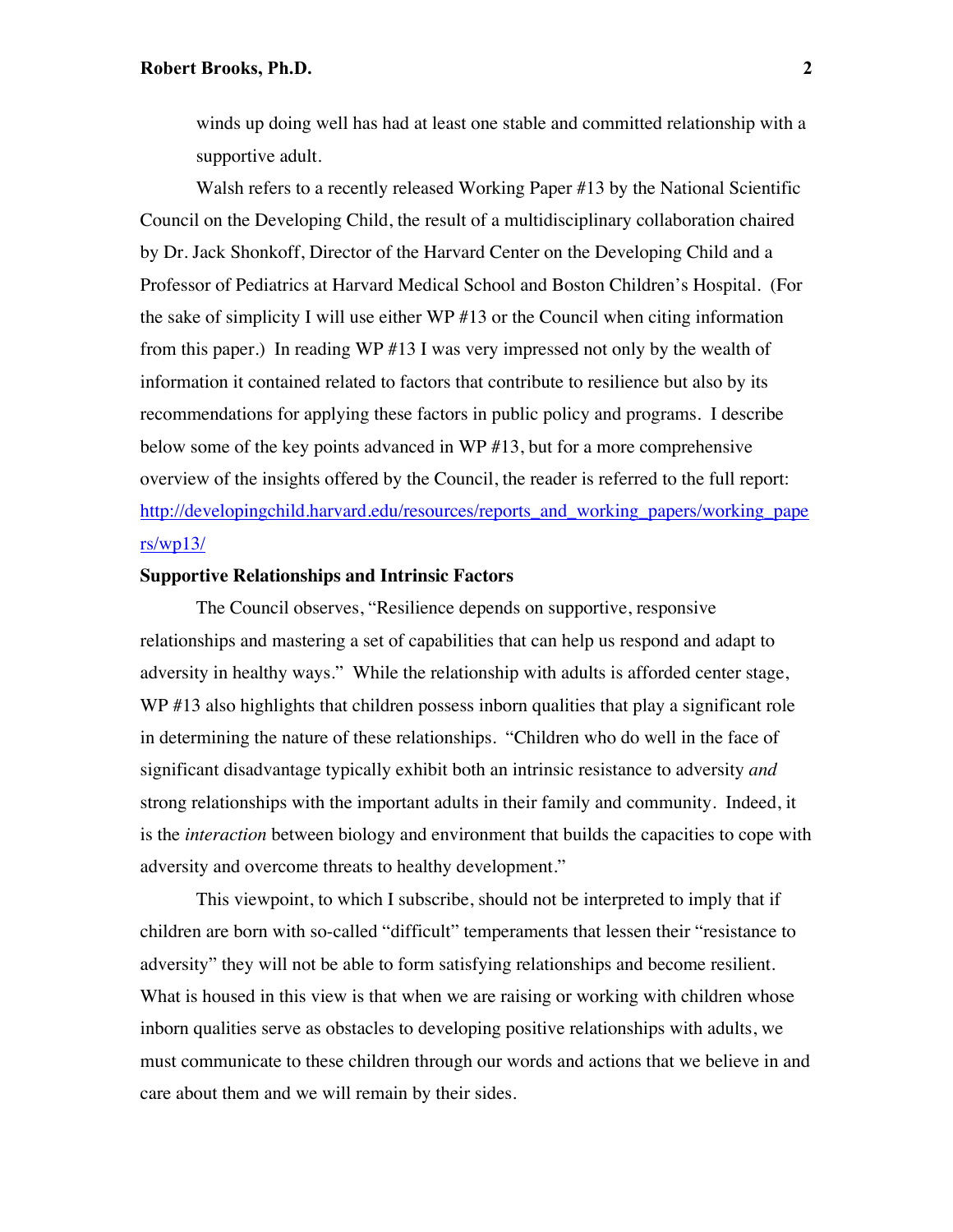winds up doing well has had at least one stable and committed relationship with a supportive adult.

Walsh refers to a recently released Working Paper #13 by the National Scientific Council on the Developing Child, the result of a multidisciplinary collaboration chaired by Dr. Jack Shonkoff, Director of the Harvard Center on the Developing Child and a Professor of Pediatrics at Harvard Medical School and Boston Children's Hospital. (For the sake of simplicity I will use either WP #13 or the Council when citing information from this paper.) In reading WP #13 I was very impressed not only by the wealth of information it contained related to factors that contribute to resilience but also by its recommendations for applying these factors in public policy and programs. I describe below some of the key points advanced in WP #13, but for a more comprehensive overview of the insights offered by the Council, the reader is referred to the full report: [http://developingchild.harvard.edu/resources/reports\\_and\\_working\\_papers/working\\_pape](http://developingchild.harvard.edu/resources/reports_and_working_papers/working_papers/wp13/) [rs/wp13/](http://developingchild.harvard.edu/resources/reports_and_working_papers/working_papers/wp13/)

## **Supportive Relationships and Intrinsic Factors**

The Council observes, "Resilience depends on supportive, responsive relationships and mastering a set of capabilities that can help us respond and adapt to adversity in healthy ways." While the relationship with adults is afforded center stage, WP #13 also highlights that children possess inborn qualities that play a significant role in determining the nature of these relationships. "Children who do well in the face of significant disadvantage typically exhibit both an intrinsic resistance to adversity *and*  strong relationships with the important adults in their family and community. Indeed, it is the *interaction* between biology and environment that builds the capacities to cope with adversity and overcome threats to healthy development."

This viewpoint, to which I subscribe, should not be interpreted to imply that if children are born with so-called "difficult" temperaments that lessen their "resistance to adversity" they will not be able to form satisfying relationships and become resilient. What is housed in this view is that when we are raising or working with children whose inborn qualities serve as obstacles to developing positive relationships with adults, we must communicate to these children through our words and actions that we believe in and care about them and we will remain by their sides.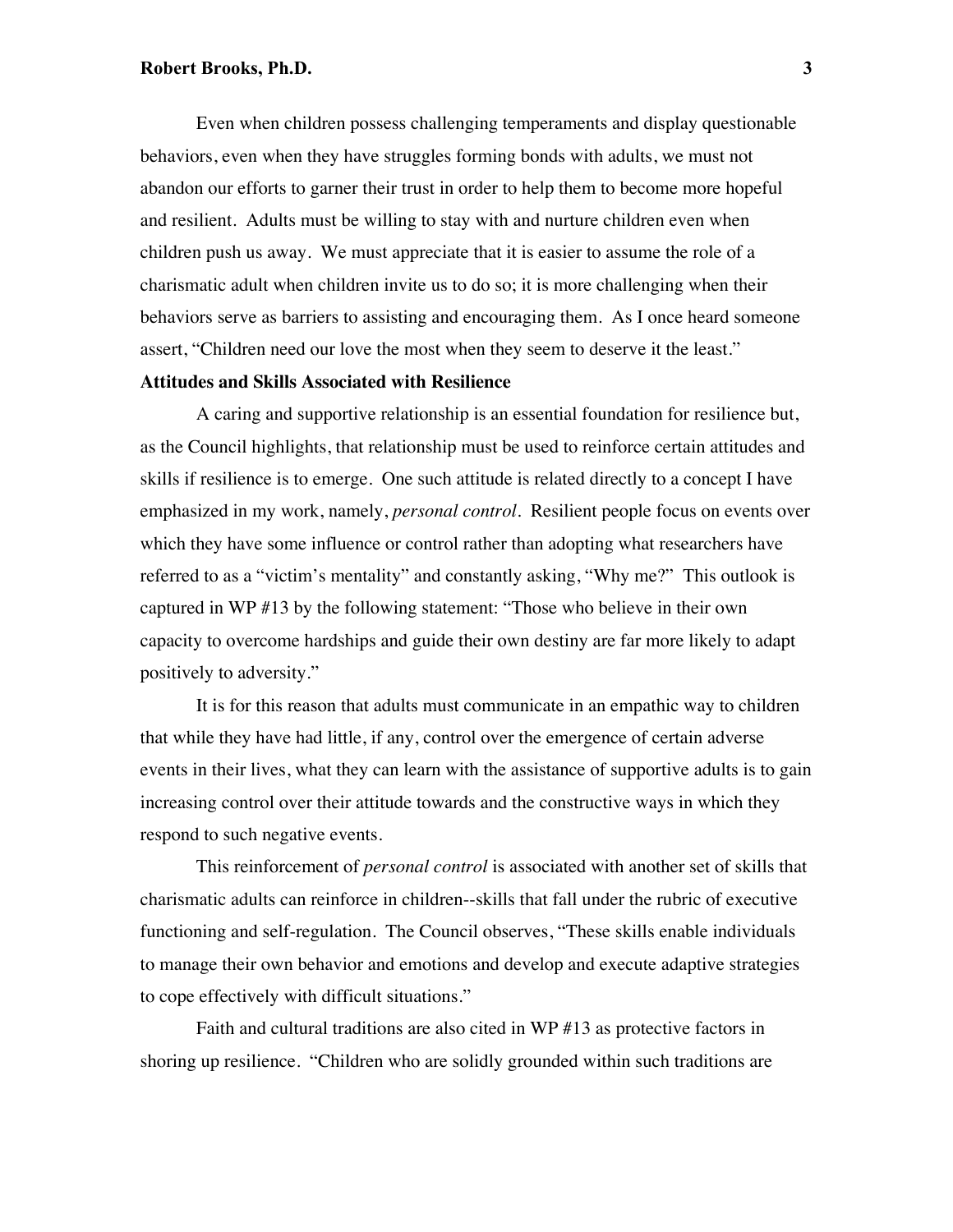### **Robert Brooks, Ph.D. 3**

Even when children possess challenging temperaments and display questionable behaviors, even when they have struggles forming bonds with adults, we must not abandon our efforts to garner their trust in order to help them to become more hopeful and resilient. Adults must be willing to stay with and nurture children even when children push us away. We must appreciate that it is easier to assume the role of a charismatic adult when children invite us to do so; it is more challenging when their behaviors serve as barriers to assisting and encouraging them. As I once heard someone assert, "Children need our love the most when they seem to deserve it the least."

# **Attitudes and Skills Associated with Resilience**

A caring and supportive relationship is an essential foundation for resilience but, as the Council highlights, that relationship must be used to reinforce certain attitudes and skills if resilience is to emerge. One such attitude is related directly to a concept I have emphasized in my work, namely, *personal control*. Resilient people focus on events over which they have some influence or control rather than adopting what researchers have referred to as a "victim's mentality" and constantly asking, "Why me?" This outlook is captured in WP #13 by the following statement: "Those who believe in their own capacity to overcome hardships and guide their own destiny are far more likely to adapt positively to adversity."

It is for this reason that adults must communicate in an empathic way to children that while they have had little, if any, control over the emergence of certain adverse events in their lives, what they can learn with the assistance of supportive adults is to gain increasing control over their attitude towards and the constructive ways in which they respond to such negative events.

This reinforcement of *personal control* is associated with another set of skills that charismatic adults can reinforce in children--skills that fall under the rubric of executive functioning and self-regulation. The Council observes, "These skills enable individuals to manage their own behavior and emotions and develop and execute adaptive strategies to cope effectively with difficult situations."

Faith and cultural traditions are also cited in WP #13 as protective factors in shoring up resilience. "Children who are solidly grounded within such traditions are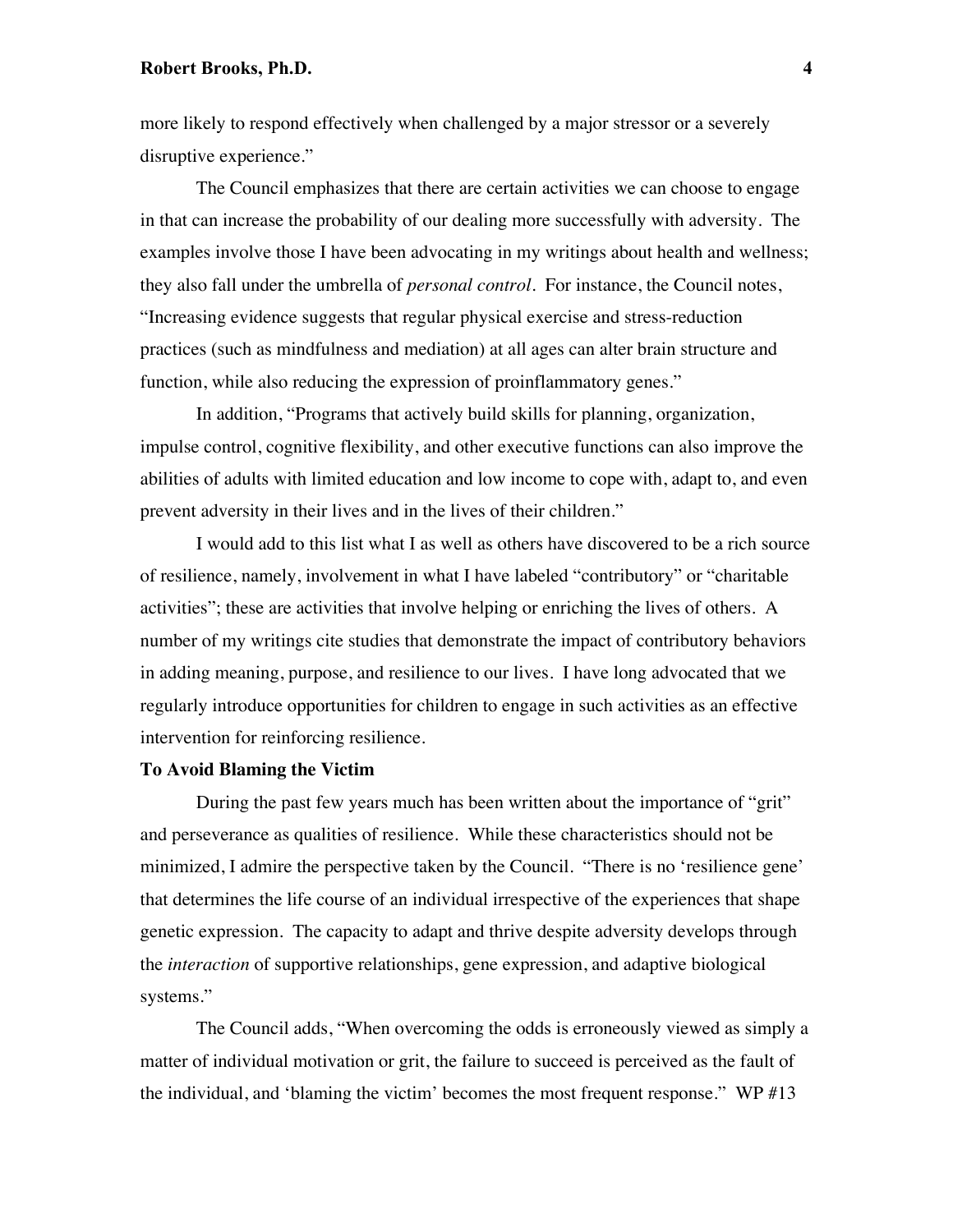# **Robert Brooks, Ph.D. 4**

more likely to respond effectively when challenged by a major stressor or a severely disruptive experience."

The Council emphasizes that there are certain activities we can choose to engage in that can increase the probability of our dealing more successfully with adversity. The examples involve those I have been advocating in my writings about health and wellness; they also fall under the umbrella of *personal control.* For instance, the Council notes, "Increasing evidence suggests that regular physical exercise and stress-reduction practices (such as mindfulness and mediation) at all ages can alter brain structure and function, while also reducing the expression of proinflammatory genes."

In addition, "Programs that actively build skills for planning, organization, impulse control, cognitive flexibility, and other executive functions can also improve the abilities of adults with limited education and low income to cope with, adapt to, and even prevent adversity in their lives and in the lives of their children."

I would add to this list what I as well as others have discovered to be a rich source of resilience, namely, involvement in what I have labeled "contributory" or "charitable activities"; these are activities that involve helping or enriching the lives of others. A number of my writings cite studies that demonstrate the impact of contributory behaviors in adding meaning, purpose, and resilience to our lives. I have long advocated that we regularly introduce opportunities for children to engage in such activities as an effective intervention for reinforcing resilience.

## **To Avoid Blaming the Victim**

During the past few years much has been written about the importance of "grit" and perseverance as qualities of resilience. While these characteristics should not be minimized, I admire the perspective taken by the Council. "There is no 'resilience gene' that determines the life course of an individual irrespective of the experiences that shape genetic expression. The capacity to adapt and thrive despite adversity develops through the *interaction* of supportive relationships, gene expression, and adaptive biological systems."

The Council adds, "When overcoming the odds is erroneously viewed as simply a matter of individual motivation or grit, the failure to succeed is perceived as the fault of the individual, and 'blaming the victim' becomes the most frequent response." WP #13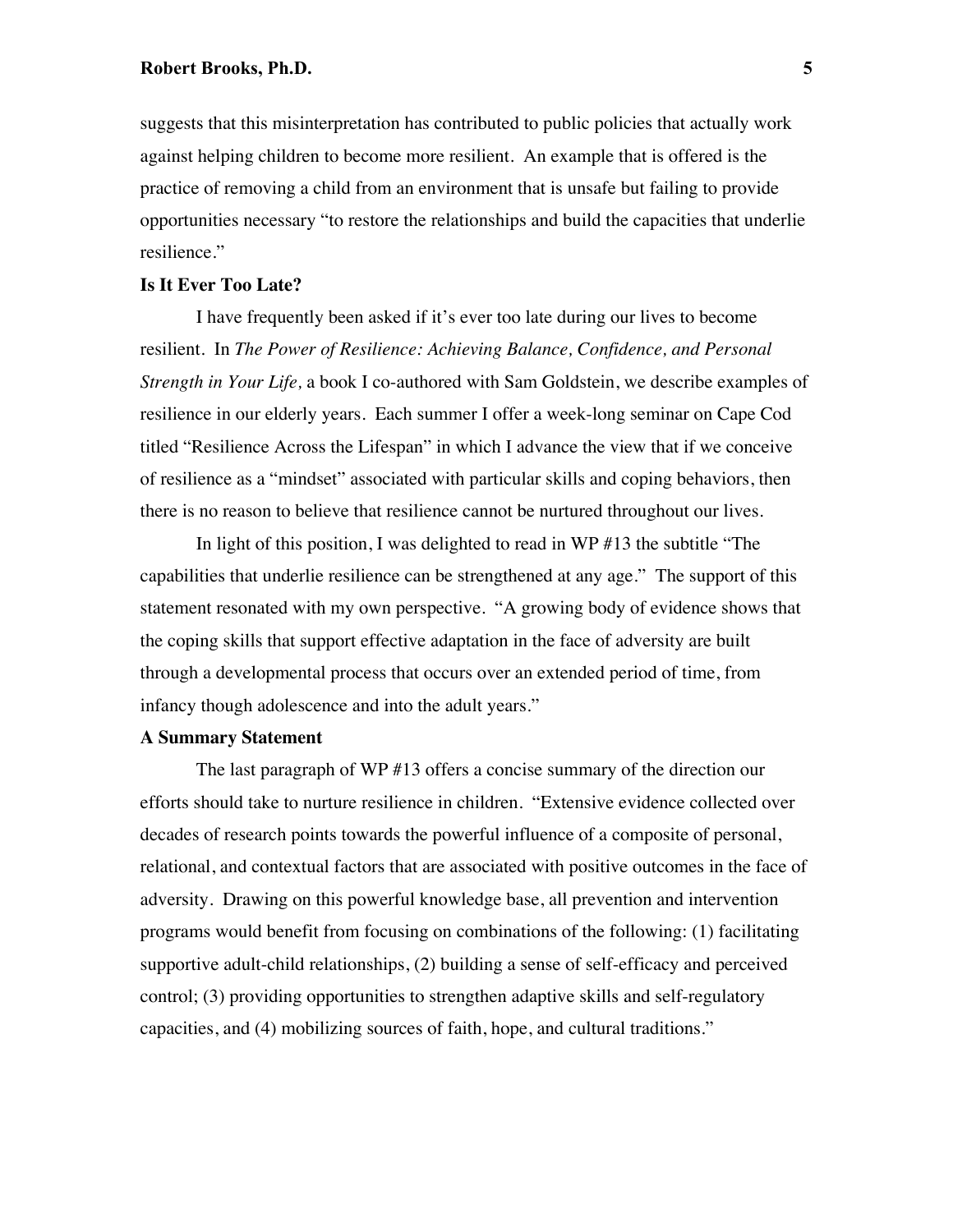suggests that this misinterpretation has contributed to public policies that actually work against helping children to become more resilient. An example that is offered is the practice of removing a child from an environment that is unsafe but failing to provide opportunities necessary "to restore the relationships and build the capacities that underlie resilience."

### **Is It Ever Too Late?**

I have frequently been asked if it's ever too late during our lives to become resilient. In *The Power of Resilience: Achieving Balance, Confidence, and Personal Strength in Your Life,* a book I co-authored with Sam Goldstein, we describe examples of resilience in our elderly years. Each summer I offer a week-long seminar on Cape Cod titled "Resilience Across the Lifespan" in which I advance the view that if we conceive of resilience as a "mindset" associated with particular skills and coping behaviors, then there is no reason to believe that resilience cannot be nurtured throughout our lives.

In light of this position, I was delighted to read in WP #13 the subtitle "The capabilities that underlie resilience can be strengthened at any age." The support of this statement resonated with my own perspective. "A growing body of evidence shows that the coping skills that support effective adaptation in the face of adversity are built through a developmental process that occurs over an extended period of time, from infancy though adolescence and into the adult years."

## **A Summary Statement**

The last paragraph of WP #13 offers a concise summary of the direction our efforts should take to nurture resilience in children. "Extensive evidence collected over decades of research points towards the powerful influence of a composite of personal, relational, and contextual factors that are associated with positive outcomes in the face of adversity. Drawing on this powerful knowledge base, all prevention and intervention programs would benefit from focusing on combinations of the following: (1) facilitating supportive adult-child relationships, (2) building a sense of self-efficacy and perceived control; (3) providing opportunities to strengthen adaptive skills and self-regulatory capacities, and (4) mobilizing sources of faith, hope, and cultural traditions."